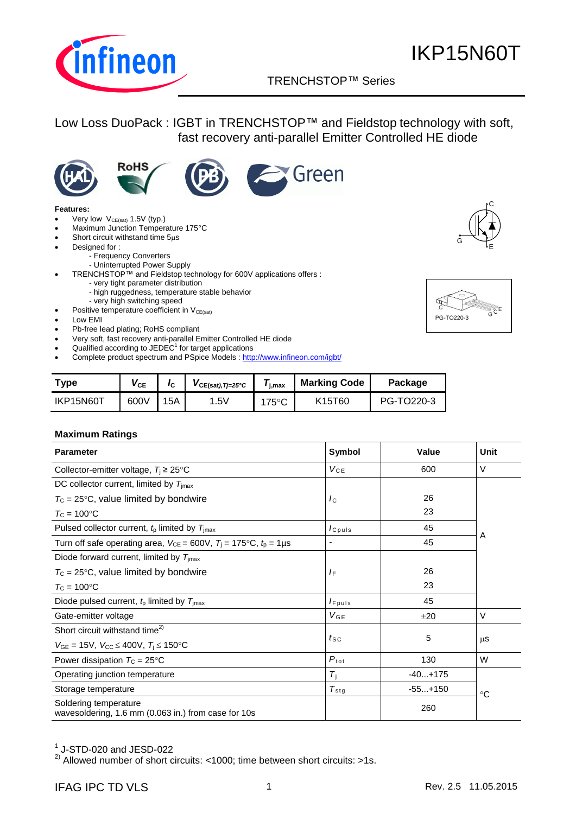

### TRENCHSTOP™ Series q

Green

### Low Loss DuoPack : IGBT in TRENCHSTOP™ and Fieldstop technology with soft, fast recovery anti-parallel Emitter Controlled HE diode







#### **Features:**

- Very low  $V_{CE(sat)}$  1.5V (typ.)
- Maximum Junction Temperature 175°C
	- Short circuit withstand time  $5\mu s$
- Designed for :
	- Frequency Converters
		- Uninterrupted Power Supply
- TRENCHSTOP™ and Fieldstop technology for 600V applications offers :
	- very tight parameter distribution
	- high ruggedness, temperature stable behavior
	- very high switching speed
- **•** Positive temperature coefficient in  $V_{CE(sat)}$
- Low EMI
- Pb-free lead plating; RoHS compliant
- Very soft, fast recovery anti-parallel Emitter Controlled HE diode
- $\bullet$  Qualified according to JEDEC<sup>1</sup> for target applications
- Complete product spectrum and PSpice Models : <http://www.infineon.com/igbt/>

| <b>Type</b> | $\mathsf{V}_{\mathsf{CE}}$ | I <sub>C</sub> | $V_{CE(sat),Tj=25°C}$ | ' i.max         | <b>Marking Code</b>             | Package    |
|-------------|----------------------------|----------------|-----------------------|-----------------|---------------------------------|------------|
| IKP15N60T   | 600V                       | 15A            | .5V                   | $175^{\circ}$ C | K <sub>15</sub> T <sub>60</sub> | PG-TO220-3 |

#### **Maximum Ratings**

| <b>Parameter</b>                                                                       | Symbol           | Value     | Unit        |  |
|----------------------------------------------------------------------------------------|------------------|-----------|-------------|--|
| Collector-emitter voltage, $T_i \geq 25^{\circ}$ C                                     | $V_{CE}$         | 600       | $\vee$      |  |
| DC collector current, limited by $T_{\text{imax}}$                                     |                  |           |             |  |
| $T_c$ = 25°C, value limited by bondwire                                                | $I_{\rm C}$      | 26        |             |  |
| $T_{\rm C}$ = 100°C                                                                    |                  | 23        |             |  |
| Pulsed collector current, $tp$ limited by $Timax$                                      | $I_{C^{puls}}$   | 45        |             |  |
| Turn off safe operating area, $V_{CE} = 600V$ , $T_1 = 175^{\circ}C$ , $t_0 = 1 \mu s$ | -                | 45        | A           |  |
| Diode forward current, limited by $T_{\text{imax}}$                                    |                  |           |             |  |
| $T_c$ = 25°C, value limited by bondwire                                                | $I_{\mathsf{F}}$ | 26        |             |  |
| $T_{\rm C}$ = 100 $^{\circ}$ C                                                         |                  | 23        |             |  |
| Diode pulsed current, $tp$ limited by $Timax$                                          | $I_{F^{puls}}$   | 45        |             |  |
| Gate-emitter voltage                                                                   | $V_{GE}$         | $+20$     | $\vee$      |  |
| Short circuit withstand time <sup>2)</sup>                                             |                  |           |             |  |
| $V_{GE}$ = 15V, $V_{CC} \le 400V$ , $T_i \le 150$ °C                                   | $t_{\text{SC}}$  | 5         | μS          |  |
| Power dissipation $T_c = 25^{\circ}C$                                                  | $P_{\rm tot}$    | 130       | W           |  |
| Operating junction temperature                                                         | $T_i$            | $-40+175$ |             |  |
| Storage temperature                                                                    | $T_{\text{stg}}$ | $-55+150$ | $^{\circ}C$ |  |
| Soldering temperature<br>wavesoldering, 1.6 mm (0.063 in.) from case for 10s           |                  | 260       |             |  |

 $^1$  J-STD-020 and JESD-022

<sup>2)</sup> Allowed number of short circuits: <1000; time between short circuits: >1s.



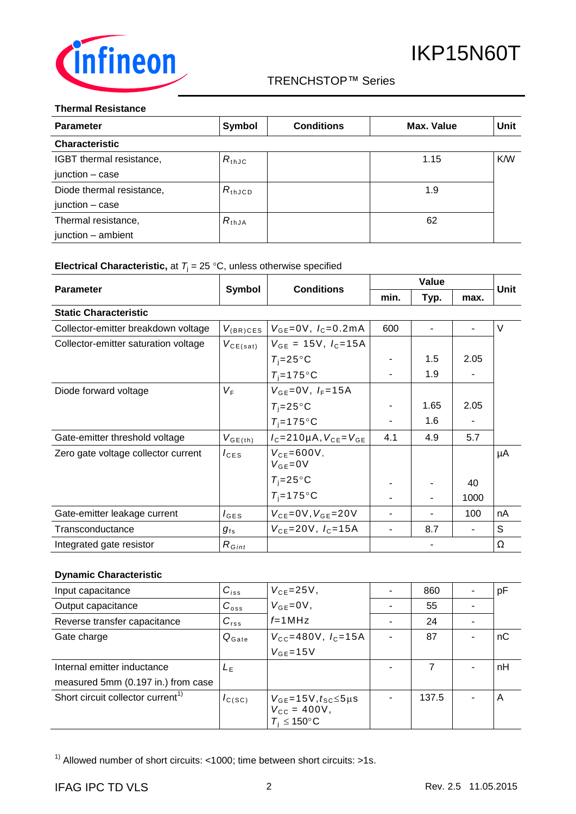

### TRENCHSTOP™ Series q

#### **Thermal Resistance**

| <b>Parameter</b>          | <b>Symbol</b>      | <b>Conditions</b> | Max. Value | Unit |
|---------------------------|--------------------|-------------------|------------|------|
| <b>Characteristic</b>     |                    |                   |            |      |
| IGBT thermal resistance,  | $R_{th,JC}$        |                   | 1.15       | K/W  |
| junction - case           |                    |                   |            |      |
| Diode thermal resistance, | $R_{\text{thJCD}}$ |                   | 1.9        |      |
| junction - case           |                    |                   |            |      |
| Thermal resistance,       | $R_{thJA}$         |                   | 62         |      |
| junction - ambient        |                    |                   |            |      |

### **Electrical Characteristic,** at  $T_j = 25 \degree C$ , unless otherwise specified

|                                      |                  |                                       | Value |                |      | Unit |
|--------------------------------------|------------------|---------------------------------------|-------|----------------|------|------|
| <b>Parameter</b>                     | Symbol           | <b>Conditions</b>                     | min.  | Typ.           | max. |      |
| <b>Static Characteristic</b>         |                  |                                       |       |                |      |      |
| Collector-emitter breakdown voltage  | $V_{(BR)CES}$    | $V_{GE} = 0V$ , $I_C = 0.2mA$         | 600   | $\blacksquare$ |      | V    |
| Collector-emitter saturation voltage | $V_{CE(sat)}$    | $V_{GE}$ = 15V, $I_C$ =15A            |       |                |      |      |
|                                      |                  | $T_i = 25^\circ \text{C}$             |       | 1.5            | 2.05 |      |
|                                      |                  | $T_i = 175$ °C                        |       | 1.9            |      |      |
| Diode forward voltage                | $V_F$            | $V_{GE} = 0V$ , $I_F = 15A$           |       |                |      |      |
|                                      |                  | $T_i = 25^{\circ}C$                   |       | 1.65           | 2.05 |      |
|                                      |                  | $T_i = 175$ °C                        |       | 1.6            |      |      |
| Gate-emitter threshold voltage       | $V_{GE(th)}$     | $I_c = 210 \mu A$ , $V_{CE} = V_{GE}$ | 4.1   | 4.9            | 5.7  |      |
| Zero gate voltage collector current  | $I_{\text{CES}}$ | $V_{CF}$ =600V,<br>$V_{GE} = 0V$      |       |                |      | μA   |
|                                      |                  | $T_i = 25^{\circ}C$                   |       |                | 40   |      |
|                                      |                  | $T_i = 175$ °C                        |       |                | 1000 |      |
| Gate-emitter leakage current         | $I_{\text{GES}}$ | $V_{CE} = 0V, V_{GE} = 20V$           |       |                | 100  | nA   |
| Transconductance                     | $g_{\rm fs}$     | $V_{CF} = 20V, I_C = 15A$             |       | 8.7            |      | S    |
| Integrated gate resistor             | $R_{Gint}$       |                                       |       |                |      | Ω    |

### **Dynamic Characteristic**

| Input capacitance                             | $C_{iss}$         | $V_{CE} = 25V$ ,                                                                       | 860   | pF |
|-----------------------------------------------|-------------------|----------------------------------------------------------------------------------------|-------|----|
| Output capacitance                            | $C_{\text{oss}}$  | $V_{GE} = 0V$ ,                                                                        | 55    |    |
| Reverse transfer capacitance                  | $C_{\text{rss}}$  | $f=1$ MHz                                                                              | 24    |    |
| Gate charge                                   | $Q_{\text{Gate}}$ | $V_{\text{CC}} = 480 \text{V}$ , $I_{\text{C}} = 15 \text{A}$                          | 87    | nC |
|                                               |                   | $V_{GF} = 15V$                                                                         |       |    |
| Internal emitter inductance                   | L <sub>E</sub>    |                                                                                        | 7     | nH |
| measured 5mm (0.197 in.) from case            |                   |                                                                                        |       |    |
| Short circuit collector current <sup>1)</sup> | $I_{C(SC)}$       | $V_{GE}$ =15V, $t_{SC}$ $\leq$ 5µs<br>$V_{\rm CC} = 400V,$<br>$T_i \leq 150^{\circ}$ C | 137.5 | A  |

<sup>1)</sup> Allowed number of short circuits: <1000; time between short circuits: >1s.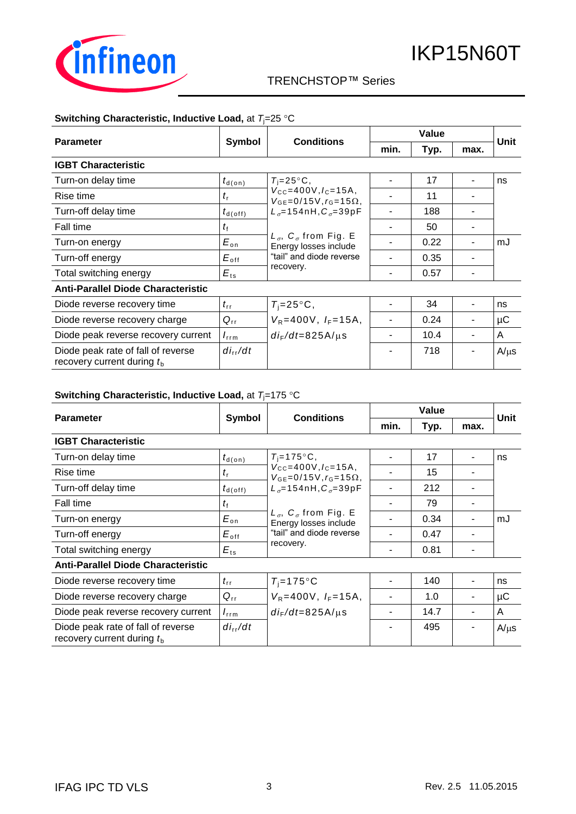

### TRENCHSTOP™ Series q

### **Switching Characteristic, Inductive Load, at**  $T_1=25$  **°C**

|                                                                    |                      |                                                                                                                                                                                                                                                  | Value |      |      |           |
|--------------------------------------------------------------------|----------------------|--------------------------------------------------------------------------------------------------------------------------------------------------------------------------------------------------------------------------------------------------|-------|------|------|-----------|
| <b>Parameter</b>                                                   | Symbol               | <b>Conditions</b>                                                                                                                                                                                                                                | min.  | Typ. | max. | Unit      |
| <b>IGBT Characteristic</b>                                         |                      |                                                                                                                                                                                                                                                  |       |      |      |           |
| Turn-on delay time                                                 | $t_{\textsf{d}(on)}$ | $T_i = 25^{\circ}C$ ,                                                                                                                                                                                                                            |       | 17   |      | ns        |
| Rise time                                                          | $t_{\rm r}$          | $V_{\text{CC}} = 400V, I_{\text{C}} = 15A,$<br>$V_{GF} = 0/15V$ , $r_G = 15\Omega$ ,<br>$L_{\sigma} = 154$ nH, $C_{\sigma} = 39$ pF<br>$L_{\sigma}$ , $C_{\sigma}$ from Fig. E<br>Energy losses include<br>"tail" and diode reverse<br>recovery. |       | 11   |      |           |
| Turn-off delay time                                                | $t_{\sf d(\sf off)}$ |                                                                                                                                                                                                                                                  |       | 188  |      |           |
| Fall time                                                          | $t_{\rm f}$          |                                                                                                                                                                                                                                                  |       | 50   |      |           |
| Turn-on energy                                                     | $E_{\rm on}$         |                                                                                                                                                                                                                                                  |       | 0.22 |      | mJ        |
| Turn-off energy                                                    | $E_{\rm off}$        |                                                                                                                                                                                                                                                  |       | 0.35 |      |           |
| Total switching energy                                             | $E_{ts}$             |                                                                                                                                                                                                                                                  |       | 0.57 |      |           |
| <b>Anti-Parallel Diode Characteristic</b>                          |                      |                                                                                                                                                                                                                                                  |       |      |      |           |
| Diode reverse recovery time                                        | $t_{\rm rr}$         | $T_i = 25^{\circ}C$ ,                                                                                                                                                                                                                            |       | 34   |      | ns        |
| Diode reverse recovery charge                                      | $Q_{rr}$             | $V_R = 400V$ , $I_F = 15A$ ,                                                                                                                                                                                                                     |       | 0.24 |      | μC        |
| Diode peak reverse recovery current                                | $I_{\rm rrm}$        | $di_F/dt = 825A/\mu s$                                                                                                                                                                                                                           |       | 10.4 |      | A         |
| Diode peak rate of fall of reverse<br>recovery current during $tb$ | $di_{rr}/dt$         |                                                                                                                                                                                                                                                  |       | 718  |      | $A/\mu s$ |

#### **Switching Characteristic, Inductive Load, at**  $T_j = 175 \text{ °C}$

| <b>Parameter</b>                                                   | Symbol                            | <b>Conditions</b>                                                                                                                           |      | Unit |      |           |
|--------------------------------------------------------------------|-----------------------------------|---------------------------------------------------------------------------------------------------------------------------------------------|------|------|------|-----------|
|                                                                    |                                   |                                                                                                                                             | min. | Typ. | max. |           |
| <b>IGBT Characteristic</b>                                         |                                   |                                                                                                                                             |      |      |      |           |
| Turn-on delay time                                                 | $t_{\text{\sf d}(\text{\sf on})}$ | $T_i = 175$ °C,                                                                                                                             |      | 17   |      | ns        |
| Rise time                                                          | $t_{\rm r}$                       | $V_{\text{CC}} = 400V, I_{\text{C}} = 15A$<br>$V_{GE} = 0/15V, r_G = 15\Omega,$                                                             |      | 15   |      |           |
| Turn-off delay time                                                | $t_{d(\text{off})}$               | $L_{\sigma} = 154$ nH, $C_{\sigma} = 39$ pF<br>$L_{\sigma}$ , $C_{\sigma}$ from Fig. E<br>Energy losses include<br>"tail" and diode reverse |      | 212  |      |           |
| Fall time                                                          | $t_{\rm f}$                       |                                                                                                                                             |      | 79   |      |           |
| Turn-on energy                                                     | $E_{\rm on}$                      |                                                                                                                                             |      | 0.34 |      | mJ        |
| Turn-off energy                                                    | $E_{\text{off}}$                  |                                                                                                                                             |      | 0.47 |      |           |
| Total switching energy                                             | $E_{ts}$                          | recovery.                                                                                                                                   |      | 0.81 |      |           |
| <b>Anti-Parallel Diode Characteristic</b>                          |                                   |                                                                                                                                             |      |      |      |           |
| Diode reverse recovery time                                        | $t_{\rm rr}$                      | $T_i = 175$ °C                                                                                                                              |      | 140  |      | ns        |
| Diode reverse recovery charge                                      | $Q_{rr}$                          | $V_R = 400V$ , $I_F = 15A$ ,                                                                                                                |      | 1.0  |      | μC        |
| Diode peak reverse recovery current                                | $I_{\rm rrm}$                     | $di_F/dt = 825A/\mu s$                                                                                                                      |      | 14.7 |      | A         |
| Diode peak rate of fall of reverse<br>recovery current during $tb$ | $di_{rr}/dt$                      |                                                                                                                                             |      | 495  |      | $A/\mu s$ |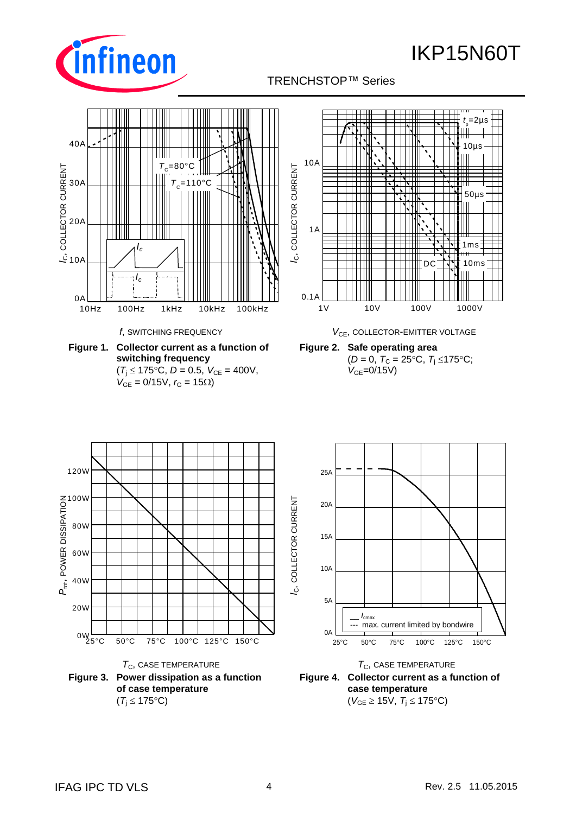

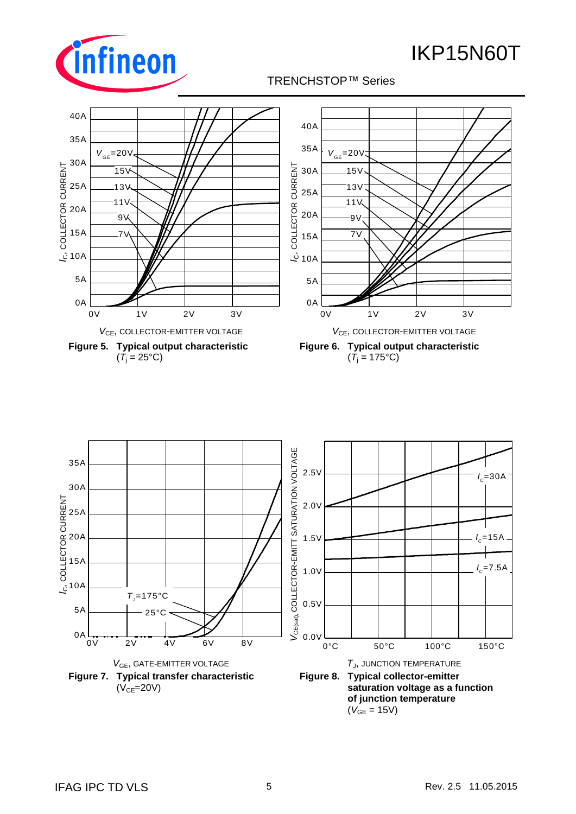![](_page_4_Picture_1.jpeg)

![](_page_4_Figure_3.jpeg)

![](_page_4_Figure_4.jpeg)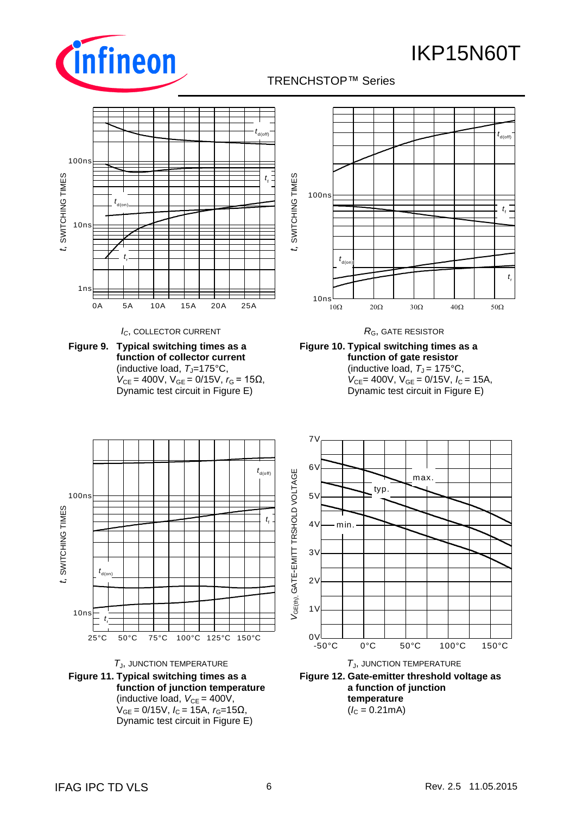![](_page_5_Picture_1.jpeg)

## TRENCHSTOP™ Series q

![](_page_5_Figure_3.jpeg)

*I*<sub>C</sub>, COLLECTOR CURRENT *R*<sub>G</sub>, GATE RESISTOR

**Figure 9. Typical switching times as a function of collector current** (inductive load, T<sub>J</sub>=175°C,  $V_{CE}$  = 400V,  $V_{GE}$  = 0/15V,  $r_G$  = 15Ω, Dynamic test circuit in Figure E)

![](_page_5_Figure_6.jpeg)

![](_page_5_Figure_7.jpeg)

![](_page_5_Figure_8.jpeg)

![](_page_5_Figure_9.jpeg)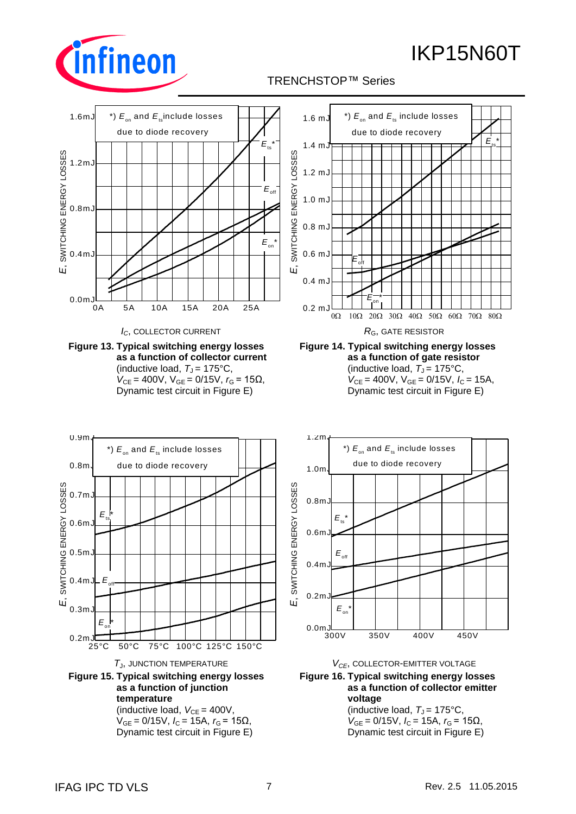![](_page_6_Picture_1.jpeg)

## TRENCHSTOP™ Series q

![](_page_6_Figure_3.jpeg)

**temperature** (inductive load,  $V_{CE} = 400V$ ,  $V_{GE} = 0/15V$ ,  $I_C = 15A$ ,  $r_G = 15Ω$ , Dynamic test circuit in Figure E)

(inductive load,  $T<sub>J</sub> = 175$ °C,  $V_{GE} = 0/15V$ ,  $I_C = 15A$ ,  $r_G = 15Ω$ , Dynamic test circuit in Figure E)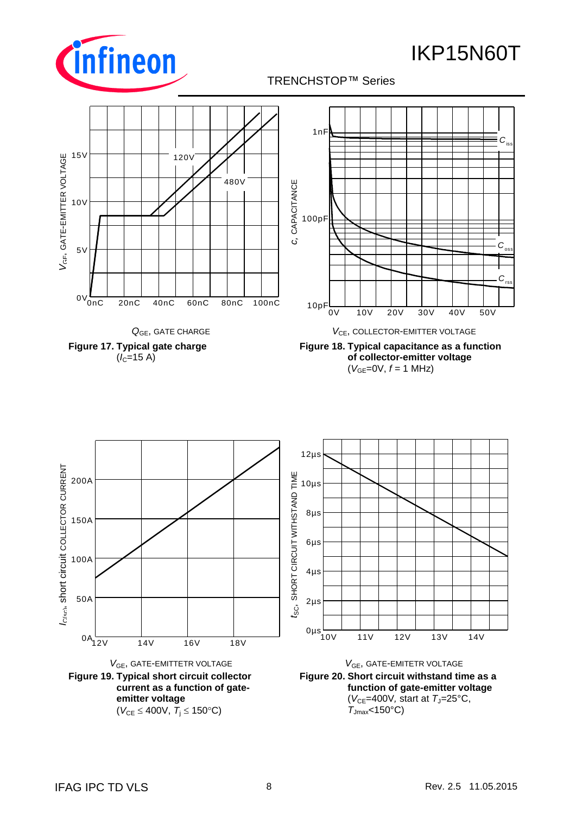![](_page_7_Picture_0.jpeg)

 $C_{rs}$ 

 $C_{\rm os}$ 

*C*<sub>is</sub>

![](_page_7_Picture_1.jpeg)

![](_page_7_Figure_3.jpeg)

![](_page_7_Figure_4.jpeg)

![](_page_7_Figure_5.jpeg)

![](_page_7_Figure_6.jpeg)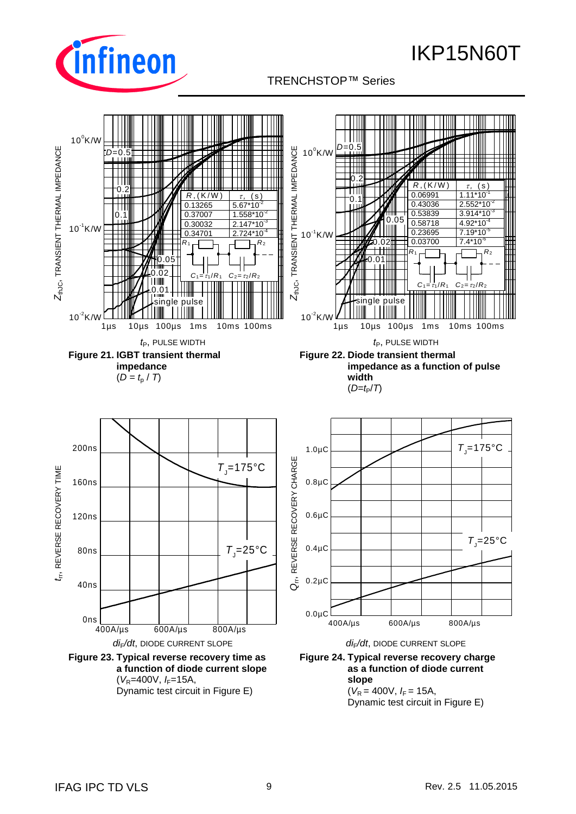![](_page_8_Picture_0.jpeg)

### TRENCHSTOP™ Series q

![](_page_8_Figure_3.jpeg)

 $(V_R = 400V, I_F = 15A,$ Dynamic test circuit in Figure E)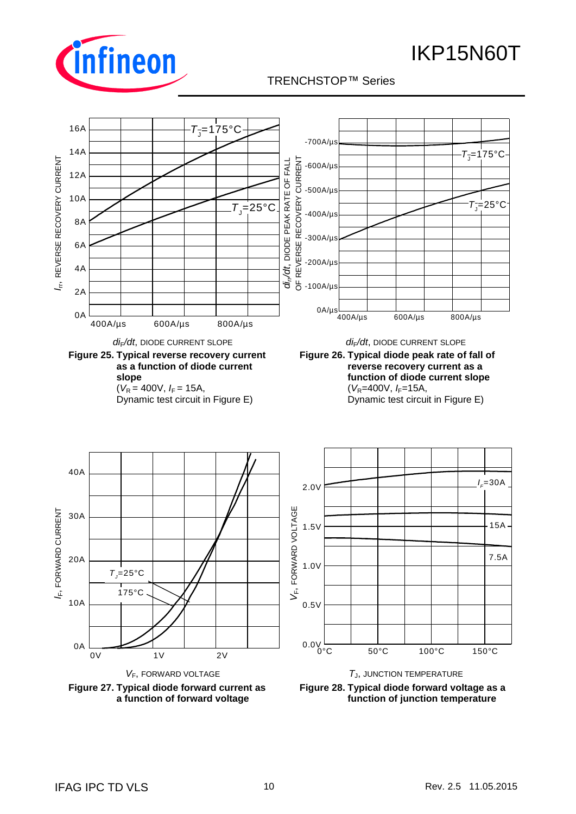![](_page_9_Picture_0.jpeg)

![](_page_9_Picture_1.jpeg)

![](_page_9_Figure_3.jpeg)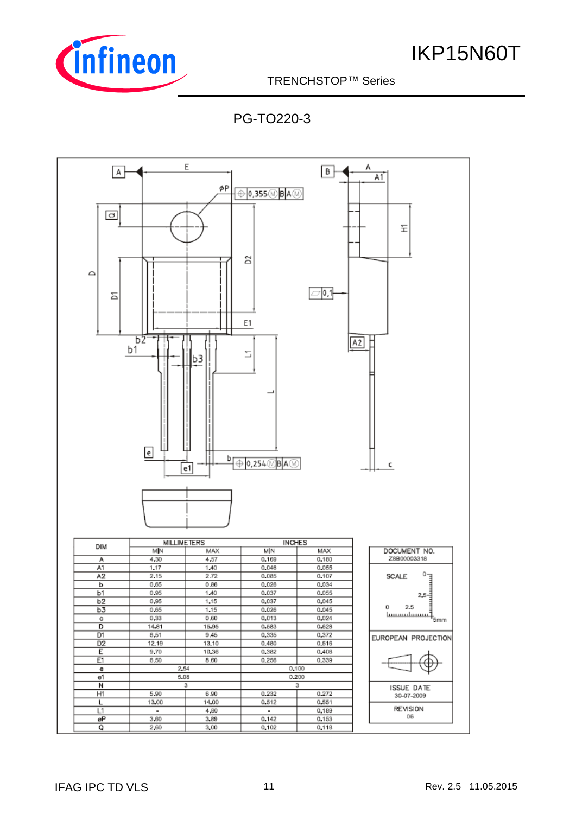![](_page_10_Picture_0.jpeg)

TRENCHSTOP™ Series q

PG-TO220-3

![](_page_10_Figure_4.jpeg)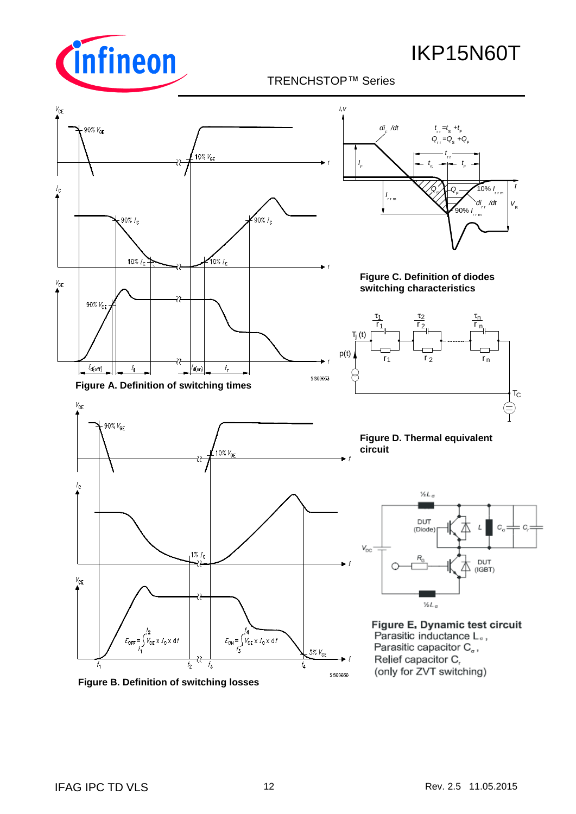![](_page_11_Picture_0.jpeg)

![](_page_11_Figure_3.jpeg)